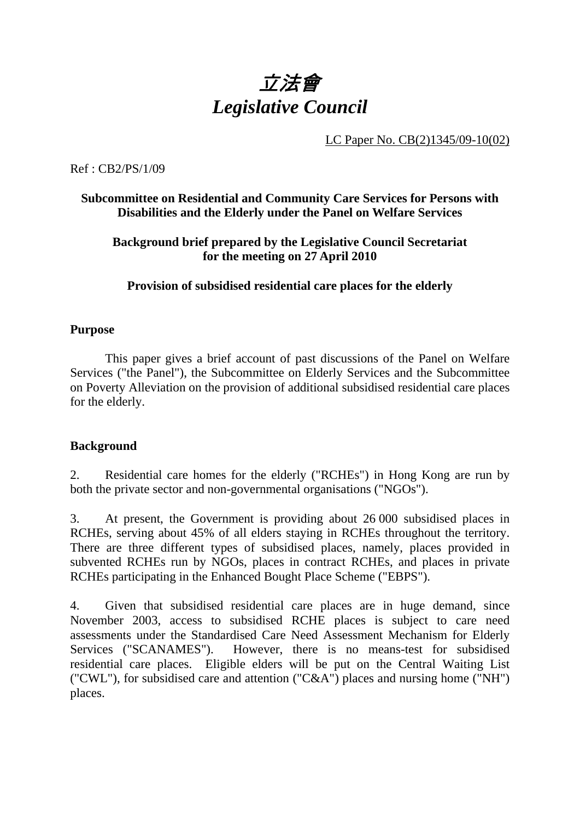

LC Paper No. CB(2)1345/09-10(02)

Ref : CB2/PS/1/09

## **Subcommittee on Residential and Community Care Services for Persons with Disabilities and the Elderly under the Panel on Welfare Services**

## **Background brief prepared by the Legislative Council Secretariat for the meeting on 27 April 2010**

## **Provision of subsidised residential care places for the elderly**

#### **Purpose**

This paper gives a brief account of past discussions of the Panel on Welfare Services ("the Panel"), the Subcommittee on Elderly Services and the Subcommittee on Poverty Alleviation on the provision of additional subsidised residential care places for the elderly.

#### **Background**

2. Residential care homes for the elderly ("RCHEs") in Hong Kong are run by both the private sector and non-governmental organisations ("NGOs").

3. At present, the Government is providing about 26,000 subsidised places in RCHEs, serving about 45% of all elders staying in RCHEs throughout the territory. There are three different types of subsidised places, namely, places provided in subvented RCHEs run by NGOs, places in contract RCHEs, and places in private RCHEs participating in the Enhanced Bought Place Scheme ("EBPS").

4. Given that subsidised residential care places are in huge demand, since November 2003, access to subsidised RCHE places is subject to care need assessments under the Standardised Care Need Assessment Mechanism for Elderly Services ("SCANAMES"). However, there is no means-test for subsidised residential care places. Eligible elders will be put on the Central Waiting List ("CWL"), for subsidised care and attention ("C&A") places and nursing home ("NH") places.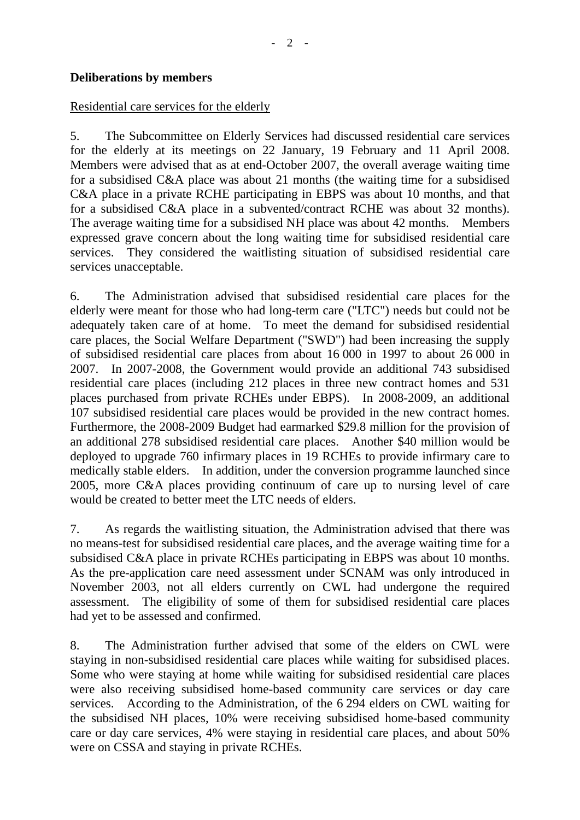## **Deliberations by members**

#### Residential care services for the elderly

5. The Subcommittee on Elderly Services had discussed residential care services for the elderly at its meetings on 22 January, 19 February and 11 April 2008. Members were advised that as at end-October 2007, the overall average waiting time for a subsidised C&A place was about 21 months (the waiting time for a subsidised C&A place in a private RCHE participating in EBPS was about 10 months, and that for a subsidised C&A place in a subvented/contract RCHE was about 32 months). The average waiting time for a subsidised NH place was about 42 months. Members expressed grave concern about the long waiting time for subsidised residential care services. They considered the waitlisting situation of subsidised residential care services unacceptable.

6. The Administration advised that subsidised residential care places for the elderly were meant for those who had long-term care ("LTC") needs but could not be adequately taken care of at home. To meet the demand for subsidised residential care places, the Social Welfare Department ("SWD") had been increasing the supply of subsidised residential care places from about 16,000 in 1997 to about 26,000 in 2007. In 2007-2008, the Government would provide an additional 743 subsidised residential care places (including 212 places in three new contract homes and 531 places purchased from private RCHEs under EBPS). In 2008-2009, an additional 107 subsidised residential care places would be provided in the new contract homes. Furthermore, the 2008-2009 Budget had earmarked \$29.8 million for the provision of an additional 278 subsidised residential care places. Another \$40 million would be deployed to upgrade 760 infirmary places in 19 RCHEs to provide infirmary care to medically stable elders. In addition, under the conversion programme launched since 2005, more C&A places providing continuum of care up to nursing level of care would be created to better meet the LTC needs of elders.

7. As regards the waitlisting situation, the Administration advised that there was no means-test for subsidised residential care places, and the average waiting time for a subsidised C&A place in private RCHEs participating in EBPS was about 10 months. As the pre-application care need assessment under SCNAM was only introduced in November 2003, not all elders currently on CWL had undergone the required assessment. The eligibility of some of them for subsidised residential care places had yet to be assessed and confirmed.

8. The Administration further advised that some of the elders on CWL were staying in non-subsidised residential care places while waiting for subsidised places. Some who were staying at home while waiting for subsidised residential care places were also receiving subsidised home-based community care services or day care services. According to the Administration, of the 6,294 elders on CWL waiting for the subsidised NH places, 10% were receiving subsidised home-based community care or day care services, 4% were staying in residential care places, and about 50% were on CSSA and staying in private RCHEs.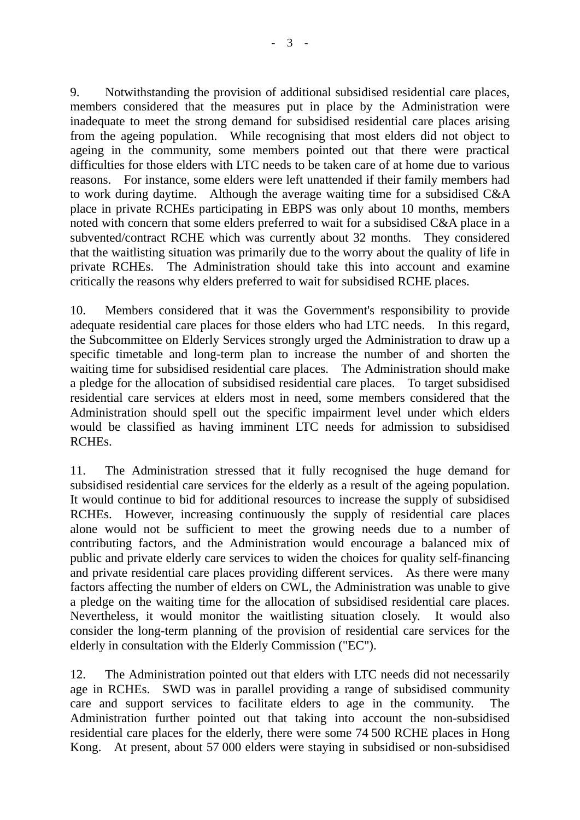9. Notwithstanding the provision of additional subsidised residential care places, members considered that the measures put in place by the Administration were inadequate to meet the strong demand for subsidised residential care places arising from the ageing population. While recognising that most elders did not object to ageing in the community, some members pointed out that there were practical difficulties for those elders with LTC needs to be taken care of at home due to various reasons. For instance, some elders were left unattended if their family members had to work during daytime. Although the average waiting time for a subsidised C&A place in private RCHEs participating in EBPS was only about 10 months, members noted with concern that some elders preferred to wait for a subsidised C&A place in a subvented/contract RCHE which was currently about 32 months. They considered that the waitlisting situation was primarily due to the worry about the quality of life in private RCHEs. The Administration should take this into account and examine critically the reasons why elders preferred to wait for subsidised RCHE places.

10. Members considered that it was the Government's responsibility to provide adequate residential care places for those elders who had LTC needs. In this regard, the Subcommittee on Elderly Services strongly urged the Administration to draw up a specific timetable and long-term plan to increase the number of and shorten the waiting time for subsidised residential care places. The Administration should make a pledge for the allocation of subsidised residential care places. To target subsidised residential care services at elders most in need, some members considered that the Administration should spell out the specific impairment level under which elders would be classified as having imminent LTC needs for admission to subsidised RCHEs.

11. The Administration stressed that it fully recognised the huge demand for subsidised residential care services for the elderly as a result of the ageing population. It would continue to bid for additional resources to increase the supply of subsidised RCHEs. However, increasing continuously the supply of residential care places alone would not be sufficient to meet the growing needs due to a number of contributing factors, and the Administration would encourage a balanced mix of public and private elderly care services to widen the choices for quality self-financing and private residential care places providing different services. As there were many factors affecting the number of elders on CWL, the Administration was unable to give a pledge on the waiting time for the allocation of subsidised residential care places. Nevertheless, it would monitor the waitlisting situation closely. It would also consider the long-term planning of the provision of residential care services for the elderly in consultation with the Elderly Commission ("EC").

12. The Administration pointed out that elders with LTC needs did not necessarily age in RCHEs. SWD was in parallel providing a range of subsidised community care and support services to facilitate elders to age in the community. The Administration further pointed out that taking into account the non-subsidised residential care places for the elderly, there were some 74,500 RCHE places in Hong Kong. At present, about 57,000 elders were staying in subsidised or non-subsidised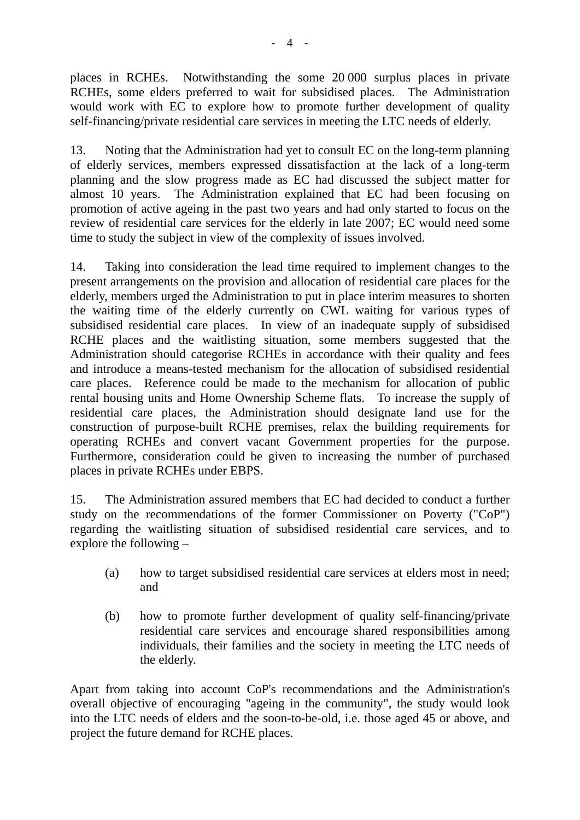places in RCHEs. Notwithstanding the some 20,000 surplus places in private RCHEs, some elders preferred to wait for subsidised places. The Administration would work with EC to explore how to promote further development of quality self-financing/private residential care services in meeting the LTC needs of elderly.

13. Noting that the Administration had yet to consult EC on the long-term planning of elderly services, members expressed dissatisfaction at the lack of a long-term planning and the slow progress made as EC had discussed the subject matter for almost 10 years. The Administration explained that EC had been focusing on promotion of active ageing in the past two years and had only started to focus on the review of residential care services for the elderly in late 2007; EC would need some time to study the subject in view of the complexity of issues involved.

14. Taking into consideration the lead time required to implement changes to the present arrangements on the provision and allocation of residential care places for the elderly, members urged the Administration to put in place interim measures to shorten the waiting time of the elderly currently on CWL waiting for various types of subsidised residential care places. In view of an inadequate supply of subsidised RCHE places and the waitlisting situation, some members suggested that the Administration should categorise RCHEs in accordance with their quality and fees and introduce a means-tested mechanism for the allocation of subsidised residential care places. Reference could be made to the mechanism for allocation of public rental housing units and Home Ownership Scheme flats. To increase the supply of residential care places, the Administration should designate land use for the construction of purpose-built RCHE premises, relax the building requirements for operating RCHEs and convert vacant Government properties for the purpose. Furthermore, consideration could be given to increasing the number of purchased places in private RCHEs under EBPS.

15. The Administration assured members that EC had decided to conduct a further study on the recommendations of the former Commissioner on Poverty ("CoP") regarding the waitlisting situation of subsidised residential care services, and to explore the following –

- (a) how to target subsidised residential care services at elders most in need; and
- (b) how to promote further development of quality self-financing/private residential care services and encourage shared responsibilities among individuals, their families and the society in meeting the LTC needs of the elderly.

Apart from taking into account CoP's recommendations and the Administration's overall objective of encouraging "ageing in the community", the study would look into the LTC needs of elders and the soon-to-be-old, i.e. those aged 45 or above, and project the future demand for RCHE places.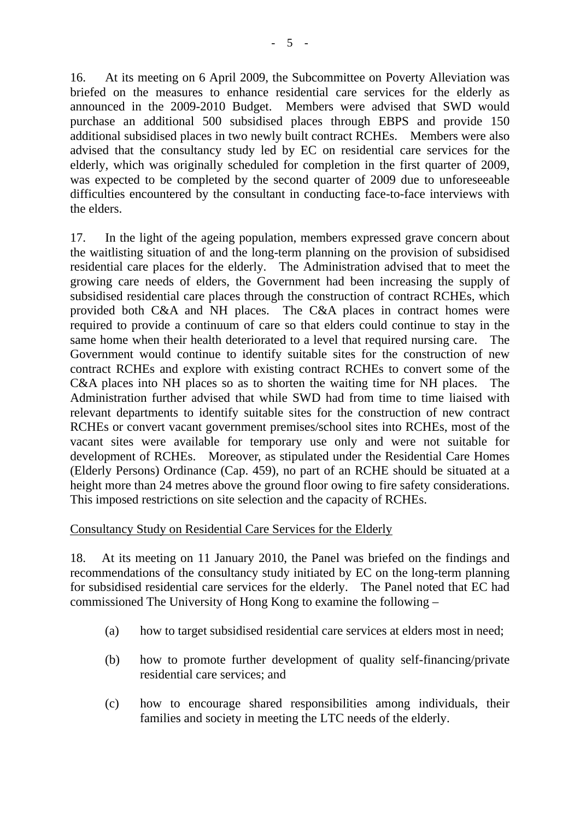16. At its meeting on 6 April 2009, the Subcommittee on Poverty Alleviation was briefed on the measures to enhance residential care services for the elderly as announced in the 2009-2010 Budget. Members were advised that SWD would purchase an additional 500 subsidised places through EBPS and provide 150 additional subsidised places in two newly built contract RCHEs. Members were also advised that the consultancy study led by EC on residential care services for the elderly, which was originally scheduled for completion in the first quarter of 2009, was expected to be completed by the second quarter of 2009 due to unforeseeable difficulties encountered by the consultant in conducting face-to-face interviews with the elders.

17. In the light of the ageing population, members expressed grave concern about the waitlisting situation of and the long-term planning on the provision of subsidised residential care places for the elderly. The Administration advised that to meet the growing care needs of elders, the Government had been increasing the supply of subsidised residential care places through the construction of contract RCHEs, which provided both C&A and NH places. The C&A places in contract homes were required to provide a continuum of care so that elders could continue to stay in the same home when their health deteriorated to a level that required nursing care. The Government would continue to identify suitable sites for the construction of new contract RCHEs and explore with existing contract RCHEs to convert some of the C&A places into NH places so as to shorten the waiting time for NH places. The Administration further advised that while SWD had from time to time liaised with relevant departments to identify suitable sites for the construction of new contract RCHEs or convert vacant government premises/school sites into RCHEs, most of the vacant sites were available for temporary use only and were not suitable for development of RCHEs. Moreover, as stipulated under the Residential Care Homes (Elderly Persons) Ordinance (Cap. 459), no part of an RCHE should be situated at a height more than 24 metres above the ground floor owing to fire safety considerations. This imposed restrictions on site selection and the capacity of RCHEs.

#### Consultancy Study on Residential Care Services for the Elderly

18. At its meeting on 11 January 2010, the Panel was briefed on the findings and recommendations of the consultancy study initiated by EC on the long-term planning for subsidised residential care services for the elderly. The Panel noted that EC had commissioned The University of Hong Kong to examine the following –

- (a) how to target subsidised residential care services at elders most in need;
- (b) how to promote further development of quality self-financing/private residential care services; and
- (c) how to encourage shared responsibilities among individuals, their families and society in meeting the LTC needs of the elderly.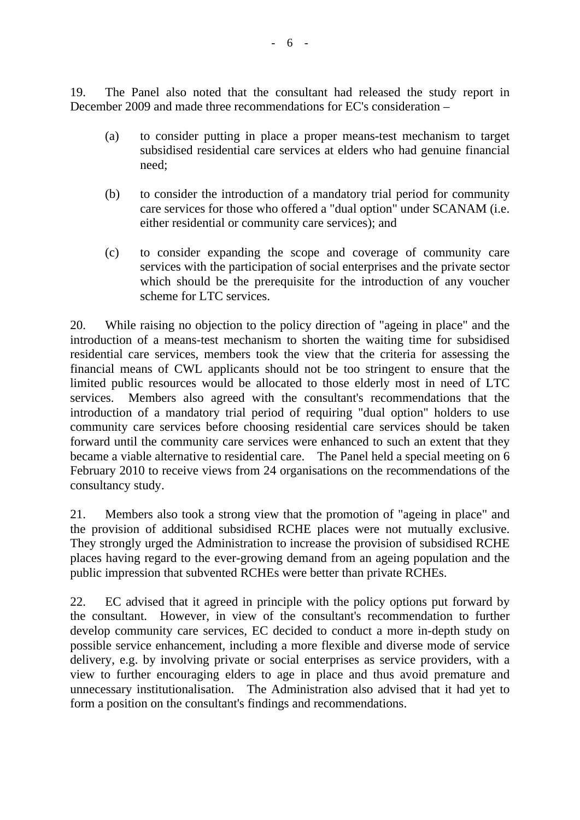19. The Panel also noted that the consultant had released the study report in December 2009 and made three recommendations for EC's consideration –

- (a) to consider putting in place a proper means-test mechanism to target subsidised residential care services at elders who had genuine financial need;
- (b) to consider the introduction of a mandatory trial period for community care services for those who offered a "dual option" under SCANAM (i.e. either residential or community care services); and
- (c) to consider expanding the scope and coverage of community care services with the participation of social enterprises and the private sector which should be the prerequisite for the introduction of any voucher scheme for LTC services.

20. While raising no objection to the policy direction of "ageing in place" and the introduction of a means-test mechanism to shorten the waiting time for subsidised residential care services, members took the view that the criteria for assessing the financial means of CWL applicants should not be too stringent to ensure that the limited public resources would be allocated to those elderly most in need of LTC services. Members also agreed with the consultant's recommendations that the introduction of a mandatory trial period of requiring "dual option" holders to use community care services before choosing residential care services should be taken forward until the community care services were enhanced to such an extent that they became a viable alternative to residential care. The Panel held a special meeting on 6 February 2010 to receive views from 24 organisations on the recommendations of the consultancy study.

21. Members also took a strong view that the promotion of "ageing in place" and the provision of additional subsidised RCHE places were not mutually exclusive. They strongly urged the Administration to increase the provision of subsidised RCHE places having regard to the ever-growing demand from an ageing population and the public impression that subvented RCHEs were better than private RCHEs.

22. EC advised that it agreed in principle with the policy options put forward by the consultant. However, in view of the consultant's recommendation to further develop community care services, EC decided to conduct a more in-depth study on possible service enhancement, including a more flexible and diverse mode of service delivery, e.g. by involving private or social enterprises as service providers, with a view to further encouraging elders to age in place and thus avoid premature and unnecessary institutionalisation. The Administration also advised that it had yet to form a position on the consultant's findings and recommendations.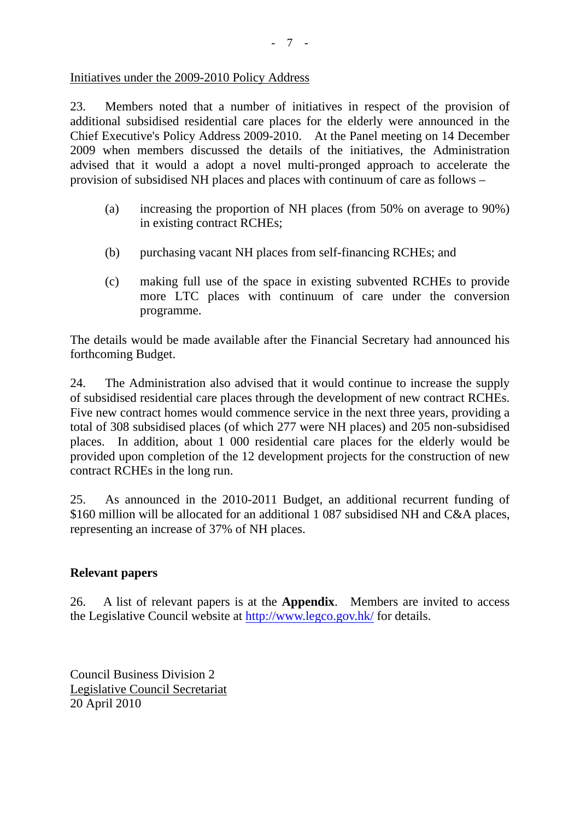#### Initiatives under the 2009-2010 Policy Address

23. Members noted that a number of initiatives in respect of the provision of additional subsidised residential care places for the elderly were announced in the Chief Executive's Policy Address 2009-2010. At the Panel meeting on 14 December 2009 when members discussed the details of the initiatives, the Administration advised that it would a adopt a novel multi-pronged approach to accelerate the provision of subsidised NH places and places with continuum of care as follows –

- (a) increasing the proportion of NH places (from 50% on average to 90%) in existing contract RCHEs;
- (b) purchasing vacant NH places from self-financing RCHEs; and
- (c) making full use of the space in existing subvented RCHEs to provide more LTC places with continuum of care under the conversion programme.

The details would be made available after the Financial Secretary had announced his forthcoming Budget.

24. The Administration also advised that it would continue to increase the supply of subsidised residential care places through the development of new contract RCHEs. Five new contract homes would commence service in the next three years, providing a total of 308 subsidised places (of which 277 were NH places) and 205 non-subsidised places. In addition, about 1 000 residential care places for the elderly would be provided upon completion of the 12 development projects for the construction of new contract RCHEs in the long run.

25. As announced in the 2010-2011 Budget, an additional recurrent funding of \$160 million will be allocated for an additional 1 087 subsidised NH and C&A places, representing an increase of 37% of NH places.

## **Relevant papers**

26. A list of relevant papers is at the **Appendix**. Members are invited to access the Legislative Council website at http://www.legco.gov.hk/ for details.

Council Business Division 2 Legislative Council Secretariat 20 April 2010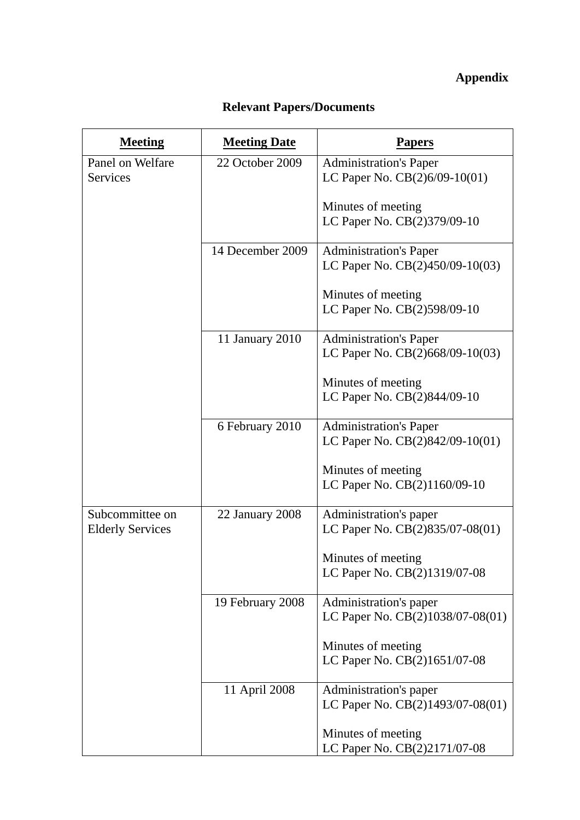## **Appendix**

# **Relevant Papers/Documents**

| <b>Meeting</b>                             | <b>Meeting Date</b> | Papers                                                           |
|--------------------------------------------|---------------------|------------------------------------------------------------------|
| Panel on Welfare<br><b>Services</b>        | 22 October 2009     | <b>Administration's Paper</b><br>LC Paper No. $CB(2)6/09-10(01)$ |
|                                            |                     | Minutes of meeting<br>LC Paper No. CB(2)379/09-10                |
|                                            | 14 December 2009    | <b>Administration's Paper</b><br>LC Paper No. CB(2)450/09-10(03) |
|                                            |                     | Minutes of meeting<br>LC Paper No. CB(2)598/09-10                |
|                                            | 11 January 2010     | <b>Administration's Paper</b><br>LC Paper No. CB(2)668/09-10(03) |
|                                            |                     | Minutes of meeting<br>LC Paper No. CB(2)844/09-10                |
|                                            | 6 February 2010     | <b>Administration's Paper</b><br>LC Paper No. CB(2)842/09-10(01) |
|                                            |                     | Minutes of meeting<br>LC Paper No. CB(2)1160/09-10               |
| Subcommittee on<br><b>Elderly Services</b> | 22 January 2008     | Administration's paper<br>LC Paper No. CB(2)835/07-08(01)        |
|                                            |                     | Minutes of meeting<br>LC Paper No. CB(2)1319/07-08               |
|                                            | 19 February 2008    | Administration's paper<br>LC Paper No. CB(2)1038/07-08(01)       |
|                                            |                     | Minutes of meeting<br>LC Paper No. CB(2)1651/07-08               |
|                                            | 11 April 2008       | Administration's paper<br>LC Paper No. CB(2)1493/07-08(01)       |
|                                            |                     | Minutes of meeting<br>LC Paper No. CB(2)2171/07-08               |